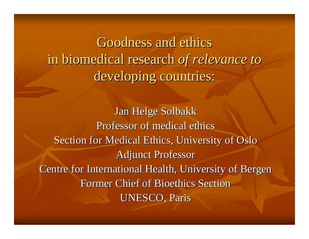Goodness and ethics in biomedical research of relevance to developing countries:

Jan Helge Solbakk Professor of medical ethics Section for Medical Ethics, University of Oslo **Adjunct Professor** Centre for International Health, University of Bergen Former Chief of Bioethics Section **UNESCO, Paris**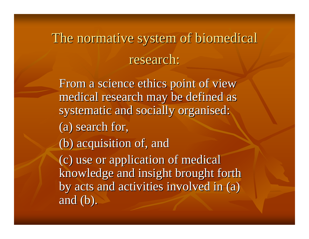## The normative system of biomedical research:

From a science ethics point of view medical research may be defined as systematic and socially organised: (a) search for, (b) acquisition of, and (b) acquisition of, and (c) use or application of medical (c) use or application of medical knowledge and insight brought forth by acts and activities involved in (a) and  $(b)$ .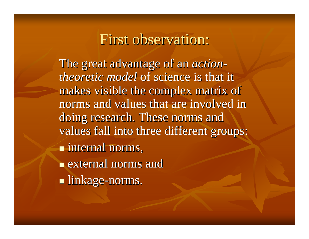#### First observation:

The great advantage of an *actiontheoretic model* of science is that it makes visible the complex matrix of norms and values that are involved in doing research. These norms and values fall into three different groups: **internal norms,**  $\blacksquare$  external norms and  $\blacksquare$  linkage-norms.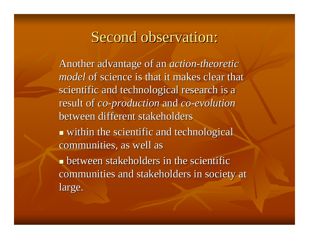#### Second observation:

Another advantage of an *action-theoretic model* of science is that it makes clear that scientific and technological research is a result of *co-production* and *co-evolution* between different stakeholders  $\blacksquare$  within the scientific and technological communities, as well as

**Example 1** between stakeholders in the scientific communities and stakeholders in society at large.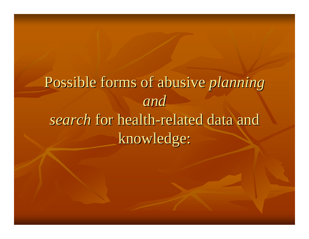# Possible forms of abusive *planning and* search for health-related data and knowledge: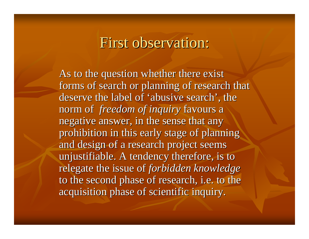#### First observation:

As to the question whether there exist forms of search or planning of research that deserve the label of 'abusive search', the norm of *freedom of inquiry* favours a negative answer, in the sense that any prohibition in this early stage of planning and design of a research project seems unjustifiable. A tendency therefore, is to relegate the issue of *forbidden knowledge* to the second phase of research, i.e. to the acquisition phase of scientific inquiry. acquisition phase of scientific inquiry.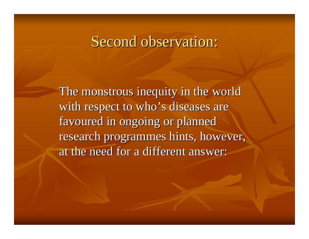#### Second observation:

The monstrous inequity in the world with respect to who's diseases are favoured in ongoing or planned research programmes hints, however, at the need for a different answer: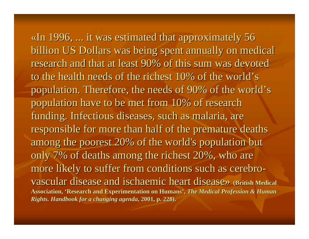«In 1996,  $\ldots$  it was estimated that approximately 56 billion US Dollars was being spent annually on medical research and that at least 90% of this sum was devoted to the health needs of the richest 10% of the world's population. Therefore, the needs of 90% of the world's population have to be met from 10% of research population have to be met from 10% of research funding. Infectious diseases, such as malaria, are responsible for more than half of the premature deaths among the poorest 20% of the world's population but only 7% of deaths among the richest  $20%$ , who are more likely to suffer from conditions such as cerebrovascular disease and ischaemic heart disease» *(British Medical disease*) Association, 'Research and Experimentation on Humans', *The Medical Profession & Human Rights. Handbook for a changing agenda Rights. Handbook for a changing agenda***, 2001, p. 228). , 2001, p. 228).**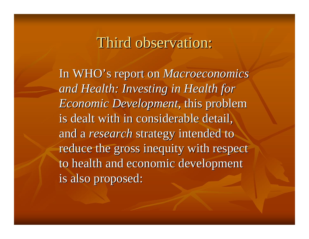#### Third observation:

In WHO's report on *Macroeconomics and Health: Investing in Health for and Health: Investing in Health for Economic Development*, this problem is dealt with in considerable detail, and a *research* strategy intended to reduce the gross inequity with respect to health and economic development is also proposed: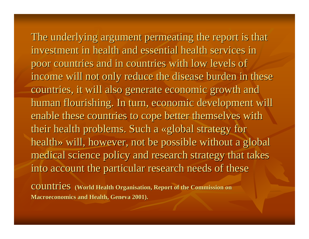The underlying argument permeating the report is that investment in health and essential health services in poor countries and in countries with low levels of income will not only reduce the disease burden in these countries, it will also generate economic growth and human flourishing. In turn, economic development will enable these countries to cope better themselves with their health problems. Such a «global strategy for health» will, however, not be possible without a global medical science policy and research strategy that takes into account the particular research needs of these

**COUNTIES** (World Health Organisation, Report of the Commission on **Macroeconomics and Health, Geneva 2001).**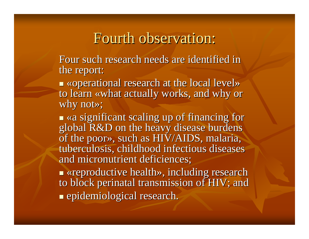#### Fourth observation:

Four such research needs are identified in the report:

 $\blacksquare$  «operational research at the local level» to learn «what actually works, and why or why not $\gg$ ;

 $\blacksquare$  «a significant scaling up of financing for global R&D on the heavy disease burdens global R&D on the heavy disease burdens of the poor», such as HIV/AIDS, malaria, tuberculosis, childhood infectious diseases and micronutrient deficiences;

 $\blacksquare$  «reproductive health», including research to block perinatal transmission of HIV; and  $\blacksquare$  epidemiological research.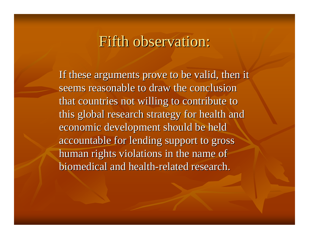#### Fifth observation:

If these arguments prove to be valid, then it seems reasonable to draw the conclusion that countries not willing to contribute to this global research strategy for health and economic development should be held accountable for lending support to gross accountable for lending support to gross human rights violations in the name of biomedical and health-related research.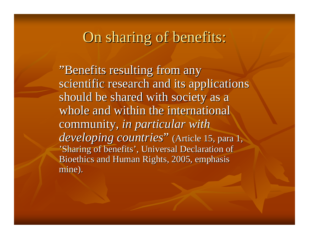#### On sharing of benefits:

"Benefits resulting from any scientific research and its applications should be shared with society as a whole and within the international community, *in particular* with *developing countries*" (Article 15, para 1, 'Sharing of benefits', Universal Declaration of Bioethics and Human Rights, 2005, emphasis mine).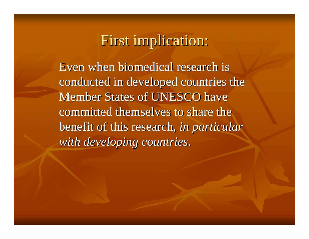### First implication:

Even when biomedical research is conducted in developed countries the Member States of UNESCO have committed themselves to share the benefit of this research, *in particular with developing countries.*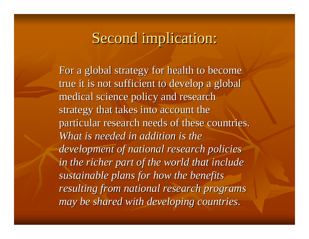#### Second implication:

For a global strategy for health to become true it is not sufficient to develop a global medical science policy and research medical science policy and research strategy that takes into account the particular research needs of these countries. *What is needed in addition is the* development of national research policies *in the richer part of the world that include in the richer part of the world that include sustainable plans for how the benefits resulting from national research programs may* be shared with *developing countries.*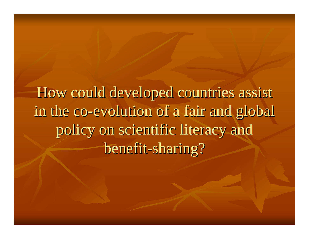How could developed countries assist in the co-evolution of a fair and global policy on scientific literacy and benefit-sharing?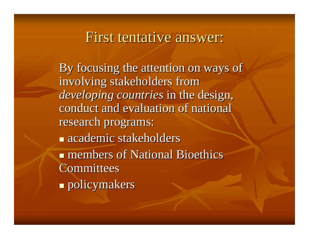#### First tentative answer:

By focusing the attention on ways of involving stakeholders from *developing countries* in the design, conduct and evaluation of national research programs:  $\blacksquare$  academic stakeholders  $\blacksquare$  members of National Bioethics **Committees**  $\blacksquare$  policymakers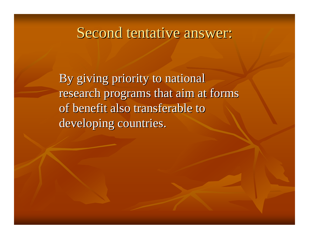## Second tentative answer:

By giving priority to national research programs that aim at forms of benefit also transferable to developing countries.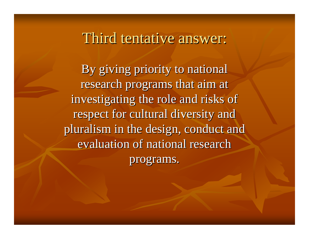#### Third tentative answer:

By giving priority to national research programs that aim at investigating the role and risks of respect for cultural diversity and pluralism in the design, conduct and evaluation of national research programs. programs.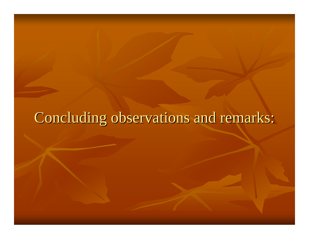## Concluding observations and remarks: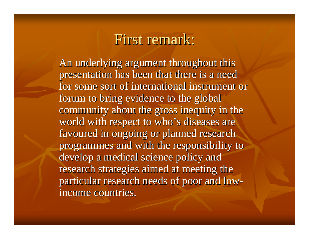#### First remark:

An underlying argument throughout this presentation has been that there is a need for some sort of international instrument or forum to bring evidence to the global community about the gross inequity in the world with respect to who's diseases are favoured in ongoing or planned research programmes and with the responsibility to develop a medical science policy and research strategies aimed at meeting the particular research needs of poor and low particular research needs of poor and low income countries.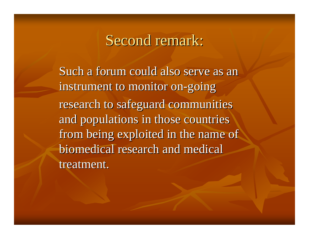#### Second remark:

Such a forum could also serve as an instrument to monitor on-going research to safeguard communities and populations in those countries from being exploited in the name of biomedical research and medical treatment.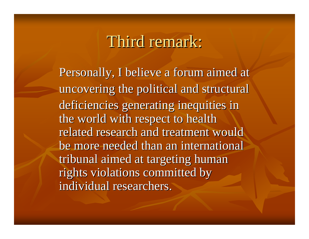## Third remark:

Personally, I believe a forum aimed at uncovering the political and structural deficiencies generating inequities in the world with respect to health related research and treatment would be more needed than an international tribunal aimed at targeting human rights violations committed by individual researchers.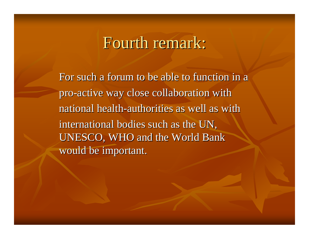## Fourth remark:

For such a forum to be able to function in a pro-active way close collaboration with national health-authorities as well as with international bodies such as the UN, UNESCO, WHO and the World Bank would be important.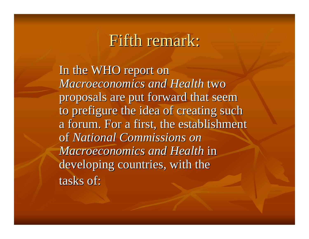## Fifth remark:

In the WHO report on *Macroeconomics and Health Macroeconomics and Health* two proposals are put forward that seem proposals are put forward that seem to prefigure the idea of creating such a forum. For a first, the establishment of *National Commissions on Macroeconomics and Health in* developing countries, with the tasks of: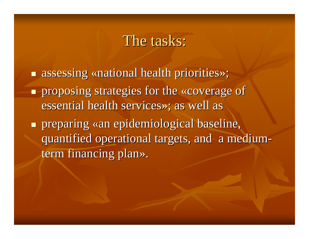#### The tasks:

 $\blacksquare$  assessing «national health priorities»; **Proposing strategies for the «coverage of coverage of** essential health services»; as well as **Preparing «an epidemiological baseline,** quantified operational targets, and a mediumterm financing plan».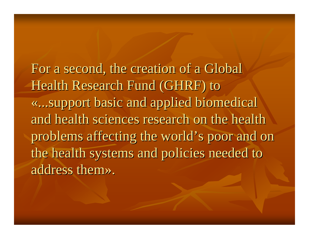For a second, the creation of a Global Health Research Fund (GHRF) to «...support basic and applied biomedical ...support basic and applied biomedical and health sciences research on the health problems affecting the world's poor and on the health systems and policies needed to address them».